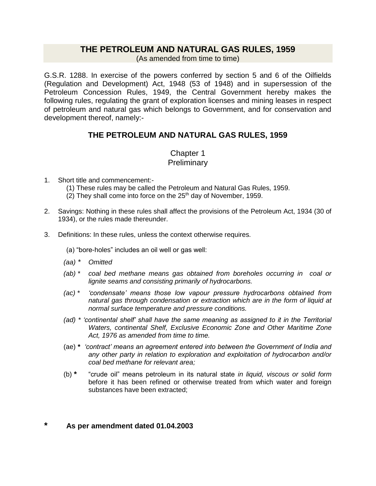## **THE PETROLEUM AND NATURAL GAS RULES, 1959**

(As amended from time to time)

G.S.R. 1288. In exercise of the powers conferred by section 5 and 6 of the Oilfields (Regulation and Development) Act, 1948 (53 of 1948) and in supersession of the Petroleum Concession Rules, 1949, the Central Government hereby makes the following rules, regulating the grant of exploration licenses and mining leases in respect of petroleum and natural gas which belongs to Government, and for conservation and development thereof, namely:-

## **THE PETROLEUM AND NATURAL GAS RULES, 1959**

## Chapter 1 **Preliminary**

- 1. Short title and commencement:-
	- (1) These rules may be called the Petroleum and Natural Gas Rules, 1959.
	- (2) They shall come into force on the  $25<sup>th</sup>$  day of November, 1959.
- 2. Savings: Nothing in these rules shall affect the provisions of the Petroleum Act, 1934 (30 of 1934), or the rules made thereunder.
- 3. Definitions: In these rules, unless the context otherwise requires.
	- (a) "bore-holes" includes an oil well or gas well:
	- *(aa) \* Omitted*
	- *(ab) \* coal bed methane means gas obtained from boreholes occurring in coal or lignite seams and consisting primarily of hydrocarbons.*
	- *(ac) \* 'condensate' means those low vapour pressure hydrocarbons obtained from natural gas through condensation or extraction which are in the form of liquid at normal surface temperature and pressure conditions.*
	- *(ad) \* 'continental shelf' shall have the same meaning as assigned to it in the Territorial Waters, continental Shelf, Exclusive Economic Zone and Other Maritime Zone Act, 1976 as amended from time to time.*
	- (ae) **\*** *'contract' means an agreement entered into between the Government of India and any other party in relation to exploration and exploitation of hydrocarbon and/or coal bed methane for relevant area;*
	- (b) **\*** "crude oil" means petroleum in its natural state *in liquid, viscous or solid form* before it has been refined or otherwise treated from which water and foreign substances have been extracted;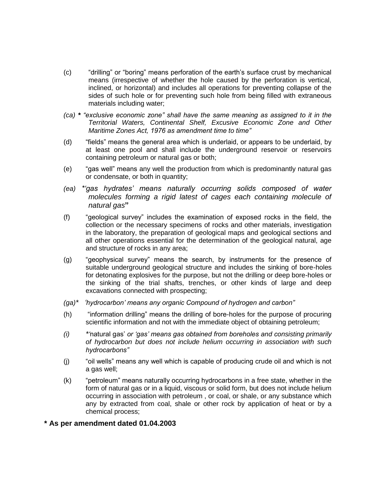- (c) "drilling" or "boring" means perforation of the earth's surface crust by mechanical means (irrespective of whether the hole caused by the perforation is vertical, inclined, or horizontal) and includes all operations for preventing collapse of the sides of such hole or for preventing such hole from being filled with extraneous materials including water;
- *(ca) \* "exclusive economic zone" shall have the same meaning as assigned to it in the Territorial Waters, Continental Shelf, Excusive Economic Zone and Other Maritime Zones Act, 1976 as amendment time to time"*
- (d) "fields" means the general area which is underlaid, or appears to be underlaid, by at least one pool and shall include the underground reservoir or reservoirs containing petroleum or natural gas or both;
- (e) "gas well" means any well the production from which is predominantly natural gas or condensate, or both in quantity;
- *(ea) \*'gas hydrates' means naturally occurring solids composed of water molecules forming a rigid latest of cages each containing molecule of natural gas***"**
- (f) "geological survey" includes the examination of exposed rocks in the field, the collection or the necessary specimens of rocks and other materials, investigation in the laboratory, the preparation of geological maps and geological sections and all other operations essential for the determination of the geological natural, age and structure of rocks in any area;
- (g) "geophysical survey" means the search, by instruments for the presence of suitable underground geological structure and includes the sinking of bore-holes for detonating explosives for the purpose, but not the drilling or deep bore-holes or the sinking of the trial shafts, trenches, or other kinds of large and deep excavations connected with prospecting;
- *(ga)\* 'hydrocarbon' means any organic Compound of hydrogen and carbon"*
- (h) "information drilling" means the drilling of bore-holes for the purpose of procuring scientific information and not with the immediate object of obtaining petroleum;
- *(i) \*'*natural gas' *or 'gas' means gas obtained from boreholes and consisting primarily of hydrocarbon but does not include helium occurring in association with such hydrocarbons"*
- (j) "oil wells" means any well which is capable of producing crude oil and which is not a gas well;
- (k) "petroleum" means naturally occurring hydrocarbons in a free state, whether in the form of natural gas or in a liquid, viscous or solid form, but does not include helium occurring in association with petroleum , or coal, or shale, or any substance which any by extracted from coal, shale or other rock by application of heat or by a chemical process;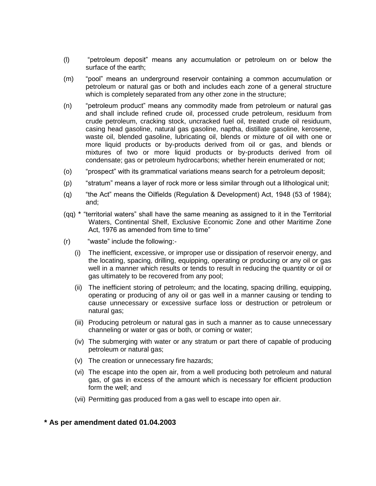- (l) "petroleum deposit" means any accumulation or petroleum on or below the surface of the earth;
- (m) "pool" means an underground reservoir containing a common accumulation or petroleum or natural gas or both and includes each zone of a general structure which is completely separated from any other zone in the structure;
- (n) "petroleum product" means any commodity made from petroleum or natural gas and shall include refined crude oil, processed crude petroleum, residuum from crude petroleum, cracking stock, uncracked fuel oil, treated crude oil residuum, casing head gasoline, natural gas gasoline, naptha, distillate gasoline, kerosene, waste oil, blended gasoline, lubricating oil, blends or mixture of oil with one or more liquid products or by-products derived from oil or gas, and blends or mixtures of two or more liquid products or by-products derived from oil condensate; gas or petroleum hydrocarbons; whether herein enumerated or not;
- (o) "prospect" with its grammatical variations means search for a petroleum deposit;
- (p) "stratum" means a layer of rock more or less similar through out a lithological unit;
- (q) "the Act" means the Oilfields (Regulation & Development) Act, 1948 (53 of 1984); and;
- (qq) \* "territorial waters" shall have the same meaning as assigned to it in the Territorial Waters, Continental Shelf, Exclusive Economic Zone and other Maritime Zone Act, 1976 as amended from time to time"
- (r) "waste" include the following:-
	- (i) The inefficient, excessive, or improper use or dissipation of reservoir energy, and the locating, spacing, drilling, equipping, operating or producing or any oil or gas well in a manner which results or tends to result in reducing the quantity or oil or gas ultimately to be recovered from any pool;
	- (ii) The inefficient storing of petroleum; and the locating, spacing drilling, equipping, operating or producing of any oil or gas well in a manner causing or tending to cause unnecessary or excessive surface loss or destruction or petroleum or natural gas;
	- (iii) Producing petroleum or natural gas in such a manner as to cause unnecessary channeling or water or gas or both, or coming or water;
	- (iv) The submerging with water or any stratum or part there of capable of producing petroleum or natural gas;
	- (v) The creation or unnecessary fire hazards;
	- (vi) The escape into the open air, from a well producing both petroleum and natural gas, of gas in excess of the amount which is necessary for efficient production form the well; and
	- (vii) Permitting gas produced from a gas well to escape into open air.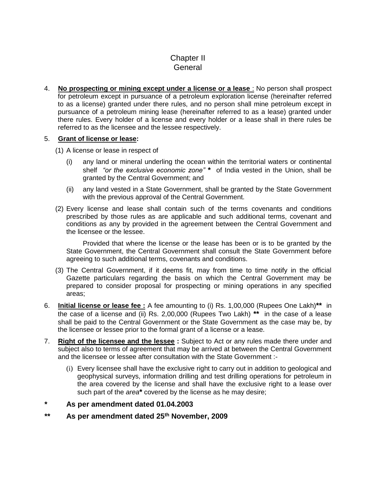## Chapter II General

4. **No prospecting or mining except under a license or a lease** : No person shall prospect for petroleum except in pursuance of a petroleum exploration license (hereinafter referred to as a license) granted under there rules, and no person shall mine petroleum except in pursuance of a petroleum mining lease (hereinafter referred to as a lease) granted under there rules. Every holder of a license and every holder or a lease shall in there rules be referred to as the licensee and the lessee respectively.

#### 5. **Grant of license or lease:**

- (1) A license or lease in respect of
	- (i) any land or mineral underling the ocean within the territorial waters or continental shelf *"or the exclusive economic zone"* **\*** of India vested in the Union, shall be granted by the Central Government; and
	- (ii) any land vested in a State Government, shall be granted by the State Government with the previous approval of the Central Government.
- (2) Every license and lease shall contain such of the terms covenants and conditions prescribed by those rules as are applicable and such additional terms, covenant and conditions as any by provided in the agreement between the Central Government and the licensee or the lessee.

Provided that where the license or the lease has been or is to be granted by the State Government, the Central Government shall consult the State Government before agreeing to such additional terms, covenants and conditions.

- (3) The Central Government, if it deems fit, may from time to time notify in the official Gazette particulars regarding the basis on which the Central Government may be prepared to consider proposal for prospecting or mining operations in any specified areas;
- 6. **Initial license or lease fee :** A fee amounting to (i) Rs. 1,00,000 (Rupees One Lakh)**\*\*** in the case of a license and (ii) Rs. 2,00,000 (Rupees Two Lakh) **\*\*** in the case of a lease shall be paid to the Central Government or the State Government as the case may be, by the licensee or lessee prior to the formal grant of a license or a lease.
- 7. **Right of the licensee and the lessee :** Subject to Act or any rules made there under and subject also to terms of agreement that may be arrived at between the Central Government and the licensee or lessee after consultation with the State Government :-
	- (i) Every licensee shall have the exclusive right to carry out in addition to geological and geophysical surveys, information drilling and test drilling operations for petroleum in the area covered by the license and shall have the exclusive right to a lease over such part of the *area***\*** covered by the license as he may desire;
- *\** **As per amendment dated 01.04.2003**
- *\*\** **As per amendment dated 25th November, 2009**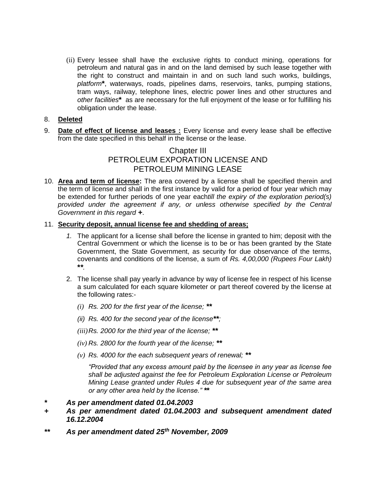(ii) Every lessee shall have the exclusive rights to conduct mining, operations for petroleum and natural gas in and on the land demised by such lease together with the right to construct and maintain in and on such land such works, buildings, *platform***\***, waterways, roads, pipelines dams, reservoirs, tanks, pumping stations, tram ways, railway, telephone lines, electric power lines and other structures and *other facilities***\*** as are necessary for the full enjoyment of the lease or for fulfilling his obligation under the lease.

#### 8. **Deleted**

9. **Date of effect of license and leases :** Every license and every lease shall be effective from the date specified in this behalf in the license or the lease.

## Chapter III PETROLEUM EXPORATION LICENSE AND PETROLEUM MINING LEASE

10. **Area and term of license:** The area covered by a license shall be specified therein and the term of license and shall in the first instance by valid for a period of four year which may be extended for further periods of one year each*till the expiry of the exploration period(s) provided under the agreement if any, or unless otherwise specified by the Central Government in this regard* **+**.

#### 11. **Security deposit, annual license fee and shedding of areas;**

- *1.* The applicant for a license shall before the license in granted to him; deposit with the Central Government or which the license is to be or has been granted by the State Government, the State Government, as security for due observance of the terms, covenants and conditions of the license, a sum of *Rs. 4,00,000 (Rupees Four Lakh)* **\****\*.*
- 2. The license shall pay yearly in advance by way of license fee in respect of his license a sum calculated for each square kilometer or part thereof covered by the license at the following rates:-
	- *(i) Rs. 200 for the first year of the license; \*\**
	- *(ii) Rs. 400 for the second year of the license\*\*;*
	- *(iii)Rs. 2000 for the third year of the license; \*\**
	- *(iv) Rs. 2800 for the fourth year of the license; \*\**
	- *(v) Rs. 4000 for the each subsequent years of renewal; \*\**

*"Provided that any excess amount paid by the licensee in any year as license fee shall be adjusted against the fee for Petroleum Exploration License or Petroleum Mining Lease granted under Rules 4 due for subsequent year of the same area or any other area held by the license." \****\***

- *+ As per amendment dated 01.04.2003 and subsequent amendment dated 16.12.2004*
- *\*\* As per amendment dated 25th November, 2009*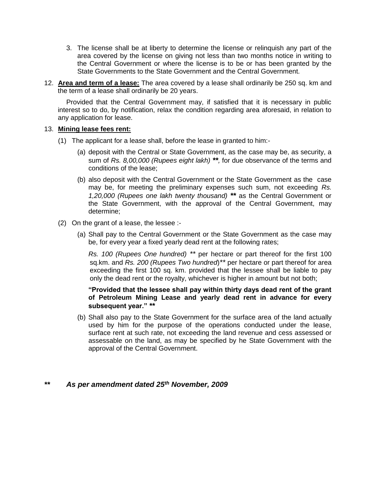- 3. The license shall be at liberty to determine the license or relinquish any part of the area covered by the license on giving not less than two months notice in writing to the Central Government or where the license is to be or has been granted by the State Governments to the State Government and the Central Government.
- 12. **Area and term of a lease:** The area covered by a lease shall ordinarily be 250 sq. km and the term of a lease shall ordinarily be 20 years.

Provided that the Central Government may, if satisfied that it is necessary in public interest so to do, by notification, relax the condition regarding area aforesaid, in relation to any application for lease.

#### 13. **Mining lease fees rent:**

- (1) The applicant for a lease shall, before the lease in granted to him:-
	- (a) deposit with the Central or State Government, as the case may be, as security, a sum of *Rs. 8,00,000 (Rupees eight lakh) \*\*,* for due observance of the terms and conditions of the lease;
	- (b) also deposit with the Central Government or the State Government as the case may be, for meeting the preliminary expenses such sum, not exceeding *Rs. 1,20,000 (Rupees one lakh twenty thousand) \*\** as the Central Government or the State Government, with the approval of the Central Government, may determine;
- (2) On the grant of a lease, the lessee :-
	- (a) Shall pay to the Central Government or the State Government as the case may be, for every year a fixed yearly dead rent at the following rates;

*Rs. 100 (Rupees One hundred) \*\** per hectare or part thereof for the first 100 sq.km. and *Rs. 200 (Rupees Two hundred*)*\*\** per hectare or part thereof for area exceeding the first 100 sq. km. provided that the lessee shall be liable to pay only the dead rent or the royalty, whichever is higher in amount but not both;

#### **"Provided that the lessee shall pay within thirty days dead rent of the grant of Petroleum Mining Lease and yearly dead rent in advance for every subsequent year." \*\***

(b) Shall also pay to the State Government for the surface area of the land actually used by him for the purpose of the operations conducted under the lease, surface rent at such rate, not exceeding the land revenue and cess assessed or assessable on the land, as may be specified by he State Government with the approval of the Central Government.

#### *\*\* As per amendment dated 25th November, 2009*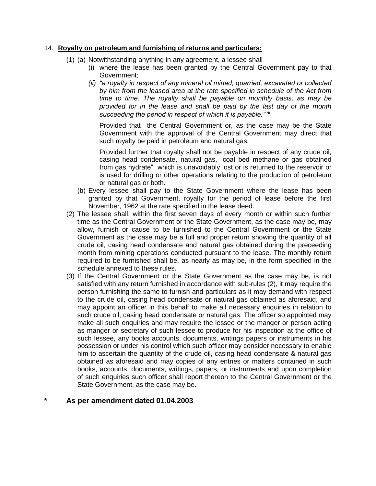#### 14. **Royalty on petroleum and furnishing of returns and particulars:**

- (1) (a) Notwithstanding anything in any agreement, a lessee shall
	- (i) where the lease has been granted by the Central Government pay to that Government;
	- *(ii) "a royalty in respect of any mineral oil mined, quarried, excavated or collected by him from the leased area at the rate specified in schedule of the Act from time to time. The royalty shall be payable on monthly basis, as may be provided for in the lease and shall be paid by the last day of the month succeeding the period in respect of which it is payable." \**

Provided that the Central Government or, as the case may be the State Government with the approval of the Central Government may direct that such royalty be paid in petroleum and natural gas;

Provided further that royalty shall not be payable in respect of any crude oil, casing head condensate, natural gas, "coal bed methane or gas obtained from gas hydrate" which is unavoidably lost or is returned to the reservoir or is used for drilling or other operations relating to the production of petroleum or natural gas or both.

- (b) Every lessee shall pay to the State Government where the lease has been granted by that Government, royalty for the period of lease before the first November, 1962 at the rate specified in the lease deed.
- (2) The lessee shall, within the first seven days of every month or within such further time as the Central Government or the State Government, as the case may be, may allow, furnish or cause to be furnished to the Central Government or the State Government as the case may be a full and proper return showing the quantity of all crude oil, casing head condensate and natural gas obtained during the preceeding month from mining operations conducted pursuant to the lease. The monthly return required to be furnished shall be, as nearly as may be, in the form specified in the schedule annexed to these rules.
- (3) If the Central Government or the State Government as the case may be, is not satisfied with any return furnished in accordance with sub-rules (2), it may require the person furnishing the same to furnish and particulars as it may demand with respect to the crude oil, casing head condensate or natural gas obtained as aforesaid, and may appoint an officer in this behalf to make all necessary enquiries in relation to such crude oil, casing head condensate or natural gas. The officer so appointed may make all such enquiries and may require the lessee or the manger or person acting as manger or secretary of such lessee to produce for his inspection at the office of such lessee, any books accounts, documents, writings papers or instruments in his possession or under his control which such officer may consider necessary to enable him to ascertain the quantity of the crude oil, casing head condensate & natural gas obtained as aforesaid and may copies of any entries or matters contained in such books, accounts, documents, writings, papers, or instruments and upon completion of such enquiries such officer shall report thereon to the Central Government or the State Government, as the case may be.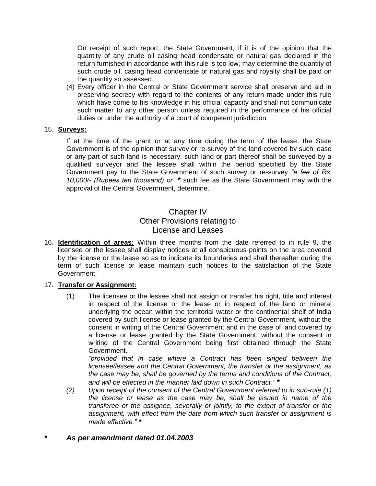On receipt of such report, the State Government, if it is of the opinion that the quantity of any crude oil casing head condensate or natural gas declared in the return furnished in accordance with this rule is too low, may determine the quantity of such crude oil, casing head condensate or natural gas and royalty shall be paid on the quantity so assessed.

(4) Every officer in the Central or State Government service shall preserve and aid in preserving secrecy with regard to the contents of any return made under this rule which have come to his knowledge in his official capacity and shall not communicate such matter to any other person unless required in the performance of his official duties or under the authority of a court of competent jurisdiction.

#### 15. **Surveys:**

If at the time of the grant or at any time during the term of the lease, the State Government is of the opinion that survey or re-survey of the land covered by such lease or any part of such land is necessary, such land or part thereof shall be surveyed by a qualified surveyor and the lessee shall within the period specified by the State Government pay to the State Government of such survey or re-survey *"a fee of Rs. 10,000/- (Rupees ten thousand) or" \** such fee as the State Government may with the approval of the Central Government, determine.

### Chapter IV Other Provisions relating to License and Leases

16. **Identification of areas:** Within three months from the date referred to in rule 9, the licensee or the lessee shall display notices at all conspicuous points on the area covered by the license or the lease so as to indicate its boundaries and shall thereafter during the term of such license or lease maintain such notices to the satisfaction of the State Government.

#### 17. **Transfer or Assignment:**

(1) The licensee or the lessee shall not assign or transfer his right, title and interest in respect of the license or the lease or in respect of the land or mineral underlying the ocean within the territorial water or the continental shelf of India covered by such license or lease granted by the Central Government, without the consent in writing of the Central Government and in the case of land covered by a license or lease granted by the State Government, without the consent in writing of the Central Government being first obtained through the State Government.

*"provided that in case where a Contract has been singed between the licensee/lessee and the Central Government, the transfer or the assignment, as the case may be, shall be governed by the terms and conditions of the Contract, and will be effected in the manner laid down in such Contract." \**

*(2) Upon receipt of the consent of the Central Government referred to in sub-rule (1) the license or lease as the case may be, shall be issued in name of the transferee or the assignee, severally or jointly, to the extent of transfer or the assignment, with effect from the date from which such transfer or assignment is made effective." \**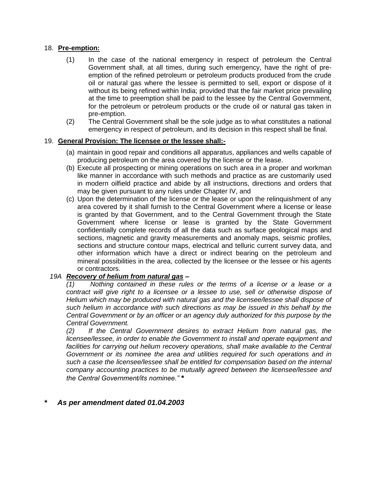#### 18. **Pre-emption:**

- (1) In the case of the national emergency in respect of petroleum the Central Government shall, at all times, during such emergency, have the right of preemption of the refined petroleum or petroleum products produced from the crude oil or natural gas where the lessee is permitted to sell, export or dispose of it without its being refined within India; provided that the fair market price prevailing at the time to preemption shall be paid to the lessee by the Central Government, for the petroleum or petroleum products or the crude oil or natural gas taken in pre-emption.
- (2) The Central Government shall be the sole judge as to what constitutes a national emergency in respect of petroleum, and its decision in this respect shall be final.

#### 19. **General Provision: The licensee or the lessee shall:-**

- (a) maintain in good repair and conditions all apparatus, appliances and wells capable of producing petroleum on the area covered by the license or the lease.
- (b) Execute all prospecting or mining operations on such area in a proper and workman like manner in accordance with such methods and practice as are customarily used in modern oilfield practice and abide by all instructions, directions and orders that may be given pursuant to any rules under Chapter IV, and
- (c) Upon the determination of the license or the lease or upon the relinquishment of any area covered by it shall furnish to the Central Government where a license or lease is granted by that Government, and to the Central Government through the State Government where license or lease is granted by the State Government confidentially complete records of all the data such as surface geological maps and sections, magnetic and gravity measurements and anomaly maps, seismic profiles, sections and structure contour maps, electrical and telluric current survey data, and other information which have a direct or indirect bearing on the petroleum and mineral possibilities in the area, collected by the licensee or the lessee or his agents or contractors.

#### *19A Recovery of helium from natural gas –*

*(1) Nothing contained in these rules or the terms of a license or a lease or a contract will give right to a licensee or a lessee to use, sell or otherwise dispose of Helium which may be produced with natural gas and the licensee/lessee shall dispose of such helium in accordance with such directions as may be issued in this behalf by the Central Government or by an officer or an agency duly authorized for this purpose by the Central Government.*

*(2) If the Central Government desires to extract Helium from natural gas, the licensee/lessee, in order to enable the Government to install and operate equipment and*  facilities for carrying out helium recovery operations, shall make available to the Central *Government or its nominee the area and utilities required for such operations and in such a case the licensee/lessee shall be entitled for compensation based on the internal company accounting practices to be mutually agreed between the licensee/lessee and the Central Government/its nominee." \**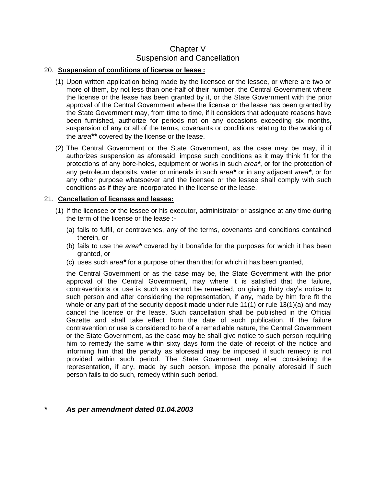## Chapter V Suspension and Cancellation

#### 20. **Suspension of conditions of license or lease :**

- (1) Upon written application being made by the licensee or the lessee, or where are two or more of them, by not less than one-half of their number, the Central Government where the license or the lease has been granted by it, or the State Government with the prior approval of the Central Government where the license or the lease has been granted by the State Government may, from time to time, if it considers that adequate reasons have been furnished, authorize for periods not on any occasions exceeding six months, suspension of any or all of the terms, covenants or conditions relating to the working of the *area\*\** covered by the license or the lease.
- (2) The Central Government or the State Government, as the case may be may, if it authorizes suspension as aforesaid, impose such conditions as it may think fit for the protections of any bore-holes, equipment or works in such *area\**, or for the protection of any petroleum deposits, water or minerals in such *area\** or in any adjacent *area\**, or for any other purpose whatsoever and the licensee or the lessee shall comply with such conditions as if they are incorporated in the license or the lease.

#### 21. **Cancellation of licenses and leases:**

- (1) If the licensee or the lessee or his executor, administrator or assignee at any time during the term of the license or the lease :-
	- (a) fails to fulfil, or contravenes, any of the terms, covenants and conditions contained therein, or
	- (b) fails to use the *area\** covered by it bonafide for the purposes for which it has been granted, or
	- (c) uses such *area\** for a purpose other than that for which it has been granted,

the Central Government or as the case may be, the State Government with the prior approval of the Central Government, may where it is satisfied that the failure, contraventions or use is such as cannot be remedied, on giving thirty day's notice to such person and after considering the representation, if any, made by him fore fit the whole or any part of the security deposit made under rule  $11(1)$  or rule  $13(1)(a)$  and may cancel the license or the lease. Such cancellation shall be published in the Official Gazette and shall take effect from the date of such publication. If the failure contravention or use is considered to be of a remediable nature, the Central Government or the State Government, as the case may be shall give notice to such person requiring him to remedy the same within sixty days form the date of receipt of the notice and informing him that the penalty as aforesaid may be imposed if such remedy is not provided within such period. The State Government may after considering the representation, if any, made by such person, impose the penalty aforesaid if such person fails to do such, remedy within such period.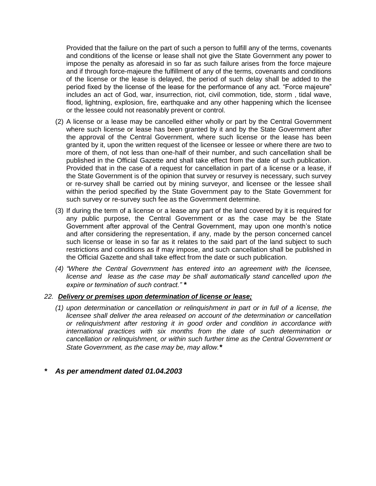Provided that the failure on the part of such a person to fulfill any of the terms, covenants and conditions of the license or lease shall not give the State Government any power to impose the penalty as aforesaid in so far as such failure arises from the force majeure and if through force-majeure the fulfillment of any of the terms, covenants and conditions of the license or the lease is delayed, the period of such delay shall be added to the period fixed by the license of the lease for the performance of any act. "Force majeure" includes an act of God, war, insurrection, riot, civil commotion, tide, storm , tidal wave, flood, lightning, explosion, fire, earthquake and any other happening which the licensee or the lessee could not reasonably prevent or control.

- (2) A license or a lease may be cancelled either wholly or part by the Central Government where such license or lease has been granted by it and by the State Government after the approval of the Central Government, where such license or the lease has been granted by it, upon the written request of the licensee or lessee or where there are two to more of them, of not less than one-half of their number, and such cancellation shall be published in the Official Gazette and shall take effect from the date of such publication. Provided that in the case of a request for cancellation in part of a license or a lease, if the State Government is of the opinion that survey or resurvey is necessary, such survey or re-survey shall be carried out by mining surveyor, and licensee or the lessee shall within the period specified by the State Government pay to the State Government for such survey or re-survey such fee as the Government determine.
- (3) If during the term of a license or a lease any part of the land covered by it is required for any public purpose, the Central Government or as the case may be the State Government after approval of the Central Government, may upon one month's notice and after considering the representation, if any, made by the person concerned cancel such license or lease in so far as it relates to the said part of the land subject to such restrictions and conditions as if may impose, and such cancellation shall be published in the Official Gazette and shall take effect from the date or such publication.
- *(4) "Where the Central Government has entered into an agreement with the licensee, license and lease as the case may be shall automatically stand cancelled upon the expire or termination of such contract." \**

#### *22. Delivery or premises upon determination of license or lease;*

*(1) upon determination or cancellation or relinquishment in part or in full of a license, the licensee shall deliver the area released on account of the determination or cancellation or relinquishment after restoring it in good order and condition in accordance with international practices with six months from the date of such determination or cancellation or relinquishment, or within such further time as the Central Government or State Government, as the case may be, may allow.\**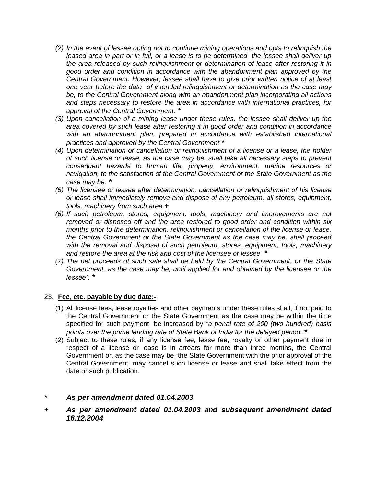- *(2) In the event of lessee opting not to continue mining operations and opts to relinquish the*  leased area in part or in full, or a lease is to be determined, the lessee shall deliver up *the area released by such relinquishment or determination of lease after restoring it in good order and condition in accordance with the abandonment plan approved by the Central Government. However, lessee shall have to give prior written notice of at least one year before the date of intended relinquishment or determination as the case may be, to the Central Government along with an abandonment plan incorporating all actions and steps necessary to restore the area in accordance with international practices, for approval of the Central Government. \**
- *(3) Upon cancellation of a mining lease under these rules, the lessee shall deliver up the area covered by such lease after restoring it in good order and condition in accordance*  with an abandonment plan, prepared in accordance with established international *practices and approved by the Central Government.\**
- *(4) Upon determination or cancellation or relinquishment of a license or a lease, the holder of such license or lease, as the case may be, shall take all necessary steps to prevent consequent hazards to human life, property, environment, marine resources or navigation, to the satisfaction of the Central Government or the State Government as the case may be. \**
- *(5) The licensee or lessee after determination, cancellation or relinquishment of his license or lease shall immediately remove and dispose of any petroleum, all stores, equipment, tools, machinery from such area.+*
- *(6) If such petroleum, stores, equipment, tools, machinery and improvements are not removed or disposed off and the area restored to good order and condition within six months prior to the determination, relinquishment or cancellation of the license or lease, the Central Government or the State Government as the case may be, shall proceed with the removal and disposal of such petroleum, stores, equipment, tools, machinery and restore the area at the risk and cost of the licensee or lessee. \**
- *(7) The net proceeds of such sale shall be held by the Central Government, or the State Government, as the case may be, until applied for and obtained by the licensee or the lessee". \**

#### 23. **Fee, etc. payable by due date:-**

- (1) All license fees, lease royalties and other payments under these rules shall, if not paid to the Central Government or the State Government as the case may be within the time specified for such payment, be increased by *"a penal rate of 200 (two hundred) basis points over the prime lending rate of State Bank of India for the delayed period."\**
- (2) Subject to these rules, if any license fee, lease fee, royalty or other payment due in respect of a license or lease is in arrears for more than three months, the Central Government or, as the case may be, the State Government with the prior approval of the Central Government, may cancel such license or lease and shall take effect from the date or such publication.

### *\* As per amendment dated 01.04.2003*

*+ As per amendment dated 01.04.2003 and subsequent amendment dated 16.12.2004*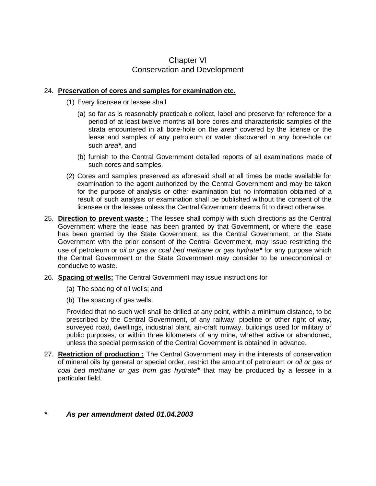## Chapter VI Conservation and Development

#### 24. **Preservation of cores and samples for examination etc.**

- (1) Every licensee or lessee shall
	- (a) so far as is reasonably practicable collect, label and preserve for reference for a period of at least twelve months all bore cores and characteristic samples of the strata encountered in all bore-hole on the *area*\* covered by the license or the lease and samples of any petroleum or water discovered in any bore-hole on such *area\**, and
	- (b) furnish to the Central Government detailed reports of all examinations made of such cores and samples.
- (2) Cores and samples preserved as aforesaid shall at all times be made available for examination to the agent authorized by the Central Government and may be taken for the purpose of analysis or other examination but no information obtained of a result of such analysis or examination shall be published without the consent of the licensee or the lessee unless the Central Government deems fit to direct otherwise.
- 25. **Direction to prevent waste :** The lessee shall comply with such directions as the Central Government where the lease has been granted by that Government, or where the lease has been granted by the State Government, as the Central Government, or the State Government with the prior consent of the Central Government, may issue restricting the use of petroleum or *oil or gas or coal bed methane or gas hydrate\** for any purpose which the Central Government or the State Government may consider to be uneconomical or conducive to waste.
- 26. **Spacing of wells:** The Central Government may issue instructions for
	- (a) The spacing of oil wells; and
	- (b) The spacing of gas wells.

Provided that no such well shall be drilled at any point, within a minimum distance, to be prescribed by the Central Government, of any railway, pipeline or other right of way, surveyed road, dwellings, industrial plant, air-craft runway, buildings used for military or public purposes, or within three kilometers of any mine, whether active or abandoned, unless the special permission of the Central Government is obtained in advance.

27. **Restriction of production :** The Central Government may in the interests of conservation of mineral oils by general or special order, restrict the amount of petroleum *or oil or gas or coal bed methane or gas from gas hydrate\** that may be produced by a lessee in a particular field.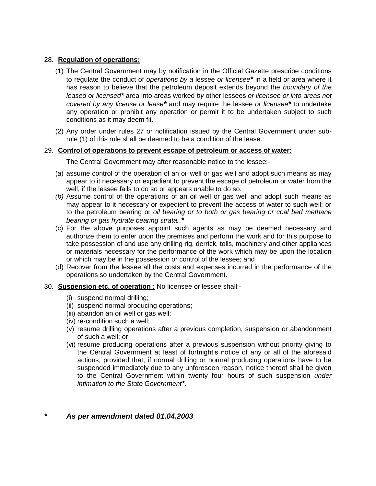#### 28. **Regulation of operations:**

- (1) The Central Government may by notification in the Official Gazette prescribe conditions to regulate the conduct of *operations by a* lessee *or licensee\** in a field or area where it has reason to believe that the petroleum deposit extends beyond the *boundary of the leased or licensed\** area into areas worked *by* other lessees *or licensee or into areas not covered by any license or lease\** and may require the lessee *or licensee\** to undertake any operation or prohibit any operation or permit it to be undertaken subject to such conditions as it may deem fit.
- (2) Any order under rules 27 or notification issued by the Central Government under subrule (1) of this rule shall be deemed to be a condition of the lease.

#### 29. **Control of operations to prevent escape of petroleum or access of water:**

#### The Central Government may after reasonable notice to the lessee:-

- (a) assume control of the operation of an oil well or gas well and adopt such means as may appear to it necessary or expedient to prevent the escape of petroleum or water from the well, if the lessee fails to do so or appears unable to do so.
- *(b)* Assume control of the operations of an oil well or gas well and adopt such means as may appear to it necessary or expedient to prevent the access of water to such well; or to the petroleum bearing or *oil bearing or to both or gas bearing or coal bed methane bearing or gas hydrate bearing strata. \**
- (c) For the above purposes appoint such agents as may be deemed necessary and authorize them to enter upon the premises and perform the work and for this purpose to take possession of and use any drilling rig, derrick, tolls, machinery and other appliances or materials necessary for the performance of the work which may be upon the location or which may be in the possession or control of the lessee; and
- (d) Recover from the lessee all the costs and expenses incurred in the performance of the operations so undertaken by the Central Government.
- 30. **Suspension etc. of operation :** No licensee or lessee shall:-
	- (i) suspend normal drilling;
	- (ii) suspend normal producing operations;
	- (iii) abandon an oil well or gas well;
	- (iv) re-condition such a well;
	- (v) resume drilling operations after a previous completion, suspension or abandonment of such a well; or
	- (vi) resume producing operations after a previous suspension without priority giving to the Central Government at least of fortnight's notice of any or all of the aforesaid actions, provided that, if normal drilling or normal producing operations have to be suspended immediately due to any unforeseen reason, notice thereof shall be given to the Central Government within twenty four hours of such suspension *under intimation to the State Government\**.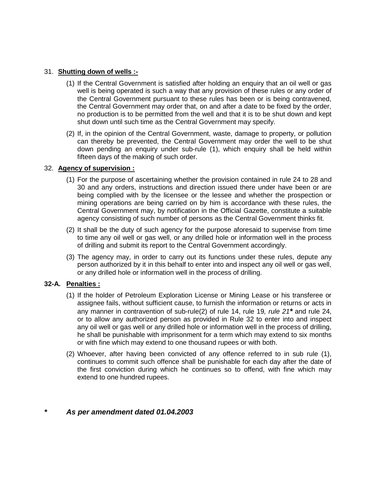#### 31. **Shutting down of wells :-**

- (1) If the Central Government is satisfied after holding an enquiry that an oil well or gas well is being operated is such a way that any provision of these rules or any order of the Central Government pursuant to these rules has been or is being contravened, the Central Government may order that, on and after a date to be fixed by the order, no production is to be permitted from the well and that it is to be shut down and kept shut down until such time as the Central Government may specify.
- (2) If, in the opinion of the Central Government, waste, damage to property, or pollution can thereby be prevented, the Central Government may order the well to be shut down pending an enquiry under sub-rule (1), which enquiry shall be held within fifteen days of the making of such order.

#### 32. **Agency of supervision :**

- (1) For the purpose of ascertaining whether the provision contained in rule 24 to 28 and 30 and any orders, instructions and direction issued there under have been or are being complied with by the licensee or the lessee and whether the prospection or mining operations are being carried on by him is accordance with these rules, the Central Government may, by notification in the Official Gazette, constitute a suitable agency consisting of such number of persons as the Central Government thinks fit.
- (2) It shall be the duty of such agency for the purpose aforesaid to supervise from time to time any oil well or gas well, or any drilled hole or information well in the process of drilling and submit its report to the Central Government accordingly.
- (3) The agency may, in order to carry out its functions under these rules, depute any person authorized by it in this behalf to enter into and inspect any oil well or gas well, or any drilled hole or information well in the process of drilling.

#### **32-A. Penalties :**

- (1) If the holder of Petroleum Exploration License or Mining Lease or his transferee or assignee fails, without sufficient cause, to furnish the information or returns or acts in any manner in contravention of sub-rule(2) of rule 14, rule 19*, rule 21\** and rule 24, or to allow any authorized person as provided in Rule 32 to enter into and inspect any oil well or gas well or any drilled hole or information well in the process of drilling, he shall be punishable with imprisonment for a term which may extend to six months or with fine which may extend to one thousand rupees or with both.
- (2) Whoever, after having been convicted of any offence referred to in sub rule (1), continues to commit such offence shall be punishable for each day after the date of the first conviction during which he continues so to offend, with fine which may extend to one hundred rupees.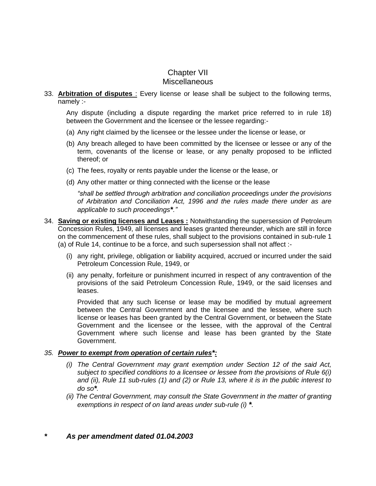## Chapter VII **Miscellaneous**

33. **Arbitration of disputes** : Every license or lease shall be subject to the following terms, namely :-

Any dispute (including a dispute regarding the market price referred to in rule 18) between the Government and the licensee or the lessee regarding:-

- (a) Any right claimed by the licensee or the lessee under the license or lease, or
- (b) Any breach alleged to have been committed by the licensee or lessee or any of the term, covenants of the license or lease, or any penalty proposed to be inflicted thereof; or
- (c) The fees, royalty or rents payable under the license or the lease, or
- (d) Any other matter or thing connected with the license or the lease

*"shall be settled through arbitration and conciliation proceedings under the provisions of Arbitration and Conciliation Act, 1996 and the rules made there under as are applicable to such proceedings\*."*

- 34. **Saving or existing licenses and Leases :** Notwithstanding the supersession of Petroleum Concession Rules, 1949, all licenses and leases granted thereunder, which are still in force on the commencement of these rules, shall subject to the provisions contained in sub-rule 1 (a) of Rule 14, continue to be a force, and such supersession shall not affect :-
	- (i) any right, privilege, obligation or liability acquired, accrued or incurred under the said Petroleum Concession Rule, 1949, or
	- (ii) any penalty, forfeiture or punishment incurred in respect of any contravention of the provisions of the said Petroleum Concession Rule, 1949, or the said licenses and leases.

Provided that any such license or lease may be modified by mutual agreement between the Central Government and the licensee and the lessee, where such license or leases has been granted by the Central Government, or between the State Government and the licensee or the lessee, with the approval of the Central Government where such license and lease has been granted by the State Government.

#### *35. Power to exempt from operation of certain rules\*:*

- *(i) The Central Government may grant exemption under Section 12 of the said Act, subject to specified conditions to a licensee or lessee from the provisions of Rule 6(i) and (ii), Rule 11 sub-rules (1) and (2) or Rule 13, where it is in the public interest to do so\*.*
- *(ii) The Central Government, may consult the State Government in the matter of granting exemptions in respect of on land areas under sub-rule (i) \*.*
- *\* As per amendment dated 01.04.2003*